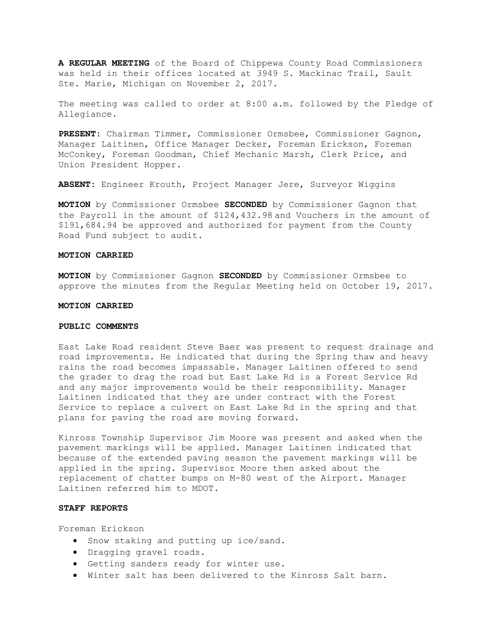**A REGULAR MEETING** of the Board of Chippewa County Road Commissioners was held in their offices located at 3949 S. Mackinac Trail, Sault Ste. Marie, Michigan on November 2, 2017.

The meeting was called to order at 8:00 a.m. followed by the Pledge of Allegiance.

**PRESENT:** Chairman Timmer, Commissioner Ormsbee, Commissioner Gagnon, Manager Laitinen, Office Manager Decker, Foreman Erickson, Foreman McConkey, Foreman Goodman, Chief Mechanic Marsh, Clerk Price, and Union President Hopper.

**ABSENT:** Engineer Krouth, Project Manager Jere, Surveyor Wiggins

**MOTION** by Commissioner Ormsbee **SECONDED** by Commissioner Gagnon that the Payroll in the amount of \$124,432.98 and Vouchers in the amount of \$191,684.94 be approved and authorized for payment from the County Road Fund subject to audit.

### **MOTION CARRIED**

**MOTION** by Commissioner Gagnon **SECONDED** by Commissioner Ormsbee to approve the minutes from the Regular Meeting held on October 19, 2017.

#### **MOTION CARRIED**

# **PUBLIC COMMENTS**

East Lake Road resident Steve Baer was present to request drainage and road improvements. He indicated that during the Spring thaw and heavy rains the road becomes impassable. Manager Laitinen offered to send the grader to drag the road but East Lake Rd is a Forest Service Rd and any major improvements would be their responsibility. Manager Laitinen indicated that they are under contract with the Forest Service to replace a culvert on East Lake Rd in the spring and that plans for paving the road are moving forward.

Kinross Township Supervisor Jim Moore was present and asked when the pavement markings will be applied. Manager Laitinen indicated that because of the extended paving season the pavement markings will be applied in the spring. Supervisor Moore then asked about the replacement of chatter bumps on M-80 west of the Airport. Manager Laitinen referred him to MDOT.

# **STAFF REPORTS**

Foreman Erickson

- Snow staking and putting up ice/sand.
- Dragging gravel roads.
- Getting sanders ready for winter use.
- Winter salt has been delivered to the Kinross Salt barn.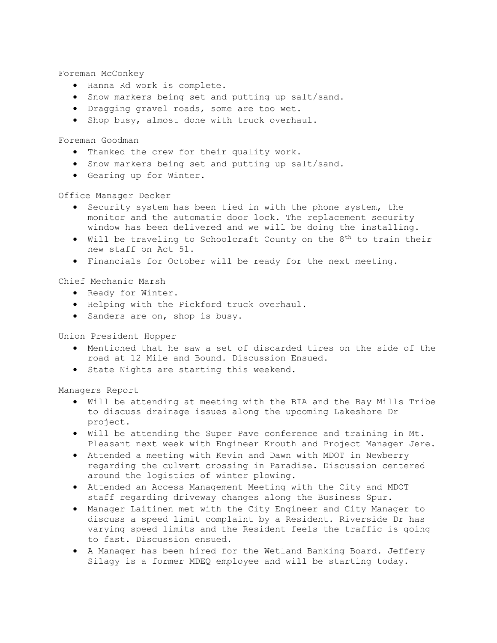Foreman McConkey

- Hanna Rd work is complete.
- Snow markers being set and putting up salt/sand.
- Dragging gravel roads, some are too wet.
- Shop busy, almost done with truck overhaul.

Foreman Goodman

- Thanked the crew for their quality work.
- Snow markers being set and putting up salt/sand.
- Gearing up for Winter.

Office Manager Decker

- Security system has been tied in with the phone system, the monitor and the automatic door lock. The replacement security window has been delivered and we will be doing the installing.
- Will be traveling to Schoolcraft County on the  $8^{th}$  to train their new staff on Act 51.
- Financials for October will be ready for the next meeting.

Chief Mechanic Marsh

- Ready for Winter.
- Helping with the Pickford truck overhaul.
- Sanders are on, shop is busy.

Union President Hopper

- Mentioned that he saw a set of discarded tires on the side of the road at 12 Mile and Bound. Discussion Ensued.
- State Nights are starting this weekend.

Managers Report

- Will be attending at meeting with the BIA and the Bay Mills Tribe to discuss drainage issues along the upcoming Lakeshore Dr project.
- Will be attending the Super Pave conference and training in Mt. Pleasant next week with Engineer Krouth and Project Manager Jere.
- Attended a meeting with Kevin and Dawn with MDOT in Newberry regarding the culvert crossing in Paradise. Discussion centered around the logistics of winter plowing.
- Attended an Access Management Meeting with the City and MDOT staff regarding driveway changes along the Business Spur.
- Manager Laitinen met with the City Engineer and City Manager to discuss a speed limit complaint by a Resident. Riverside Dr has varying speed limits and the Resident feels the traffic is going to fast. Discussion ensued.
- A Manager has been hired for the Wetland Banking Board. Jeffery Silagy is a former MDEQ employee and will be starting today.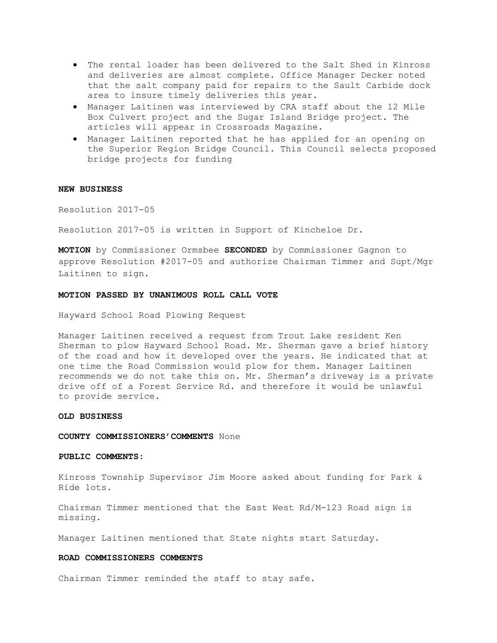- The rental loader has been delivered to the Salt Shed in Kinross and deliveries are almost complete. Office Manager Decker noted that the salt company paid for repairs to the Sault Carbide dock area to insure timely deliveries this year.
- Manager Laitinen was interviewed by CRA staff about the 12 Mile Box Culvert project and the Sugar Island Bridge project. The articles will appear in Crossroads Magazine.
- Manager Laitinen reported that he has applied for an opening on the Superior Region Bridge Council. This Council selects proposed bridge projects for funding

# **NEW BUSINESS**

Resolution 2017-05

Resolution 2017-05 is written in Support of Kincheloe Dr.

**MOTION** by Commissioner Ormsbee **SECONDED** by Commissioner Gagnon to approve Resolution #2017-05 and authorize Chairman Timmer and Supt/Mgr Laitinen to sign.

# **MOTION PASSED BY UNANIMOUS ROLL CALL VOTE**

Hayward School Road Plowing Request

Manager Laitinen received a request from Trout Lake resident Ken Sherman to plow Hayward School Road. Mr. Sherman gave a brief history of the road and how it developed over the years. He indicated that at one time the Road Commission would plow for them. Manager Laitinen recommends we do not take this on. Mr. Sherman's driveway is a private drive off of a Forest Service Rd. and therefore it would be unlawful to provide service.

# **OLD BUSINESS**

### **COUNTY COMMISSIONERS'COMMENTS** None

### **PUBLIC COMMENTS:**

Kinross Township Supervisor Jim Moore asked about funding for Park & Ride lots.

Chairman Timmer mentioned that the East West Rd/M-123 Road sign is missing.

Manager Laitinen mentioned that State nights start Saturday.

# **ROAD COMMISSIONERS COMMENTS**

Chairman Timmer reminded the staff to stay safe.